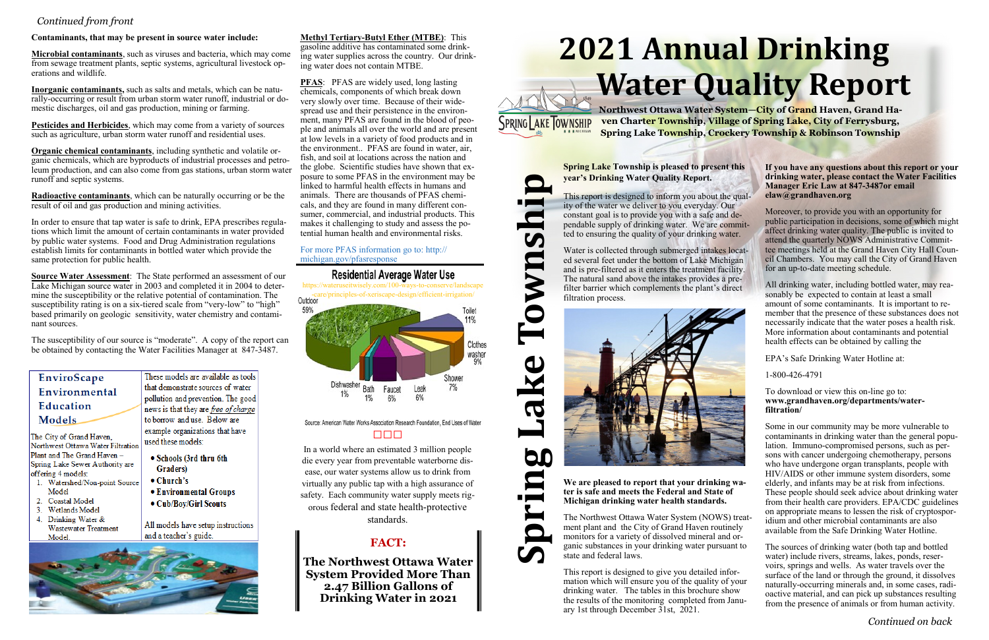# **2021 Annual Drinking Water Quality Report**



**Northwest Ottawa Water System—City of Grand Haven, Grand Haven Charter Township, Village of Spring Lake, City of Ferrysburg, Spring Lake Township, Crockery Township & Robinson Township**

**Spring Lake Township is pleased to present this year's Drinking Water Quality Report.** 

SPRING AKE TOWNSHIP

Q

This report is designed to inform you about the quality of the water we deliver to you everyday. Our constant goal is to provide you with a safe and dependable supply of drinking water. We are committed to ensuring the quality of your drinking water.

Water is collected through submerged intakes located several feet under the bottom of Lake Michigan and is pre-filtered as it enters the treatment facility. The natural sand above the intakes provides a prefilter barrier which complements the plant's direct filtration process.

**We are pleased to report that your drinking water is safe and meets the Federal and State of Michigan drinking water health standards.** 

The Northwest Ottawa Water System (NOWS) treatment plant and the City of Grand Haven routinely monitors for a variety of dissolved mineral and organic substances in your drinking water pursuant to state and federal laws.

This report is designed to give you detailed information which will ensure you of the quality of your drinking water. The tables in this brochure show the results of the monitoring completed from January 1st through December 31st, 2021.

**If you have any questions about this report or your drinking water, please contact the Water Facilities Manager Eric Law at 847-3487or email elaw@grandhaven.org**

Moreover, to provide you with an opportunity for public participation in decisions, some of which might affect drinking water quality. The public is invited to attend the quarterly NOWS Administrative Committee meetings held at the Grand Haven City Hall Council Chambers. You may call the City of Grand Haven for an up-to-date meeting schedule.

All drinking water, including bottled water, may reasonably be expected to contain at least a small amount of some contaminants. It is important to remember that the presence of these substances does not necessarily indicate that the water poses a health risk. More information about contaminants and potential health effects can be obtained by calling the

EPA's Safe Drinking Water Hotline at:

1-800-426-4791

To download or view this on-line go to: **www.grandhaven.org/departments/waterfiltration/** 

Some in our community may be more vulnerable to contaminants in drinking water than the general population. Immuno-compromised persons, such as persons with cancer undergoing chemotherapy, persons who have undergone organ transplants, people with HIV/AIDS or other immune system disorders, some elderly, and infants may be at risk from infections. These people should seek advice about drinking water from their health care providers. EPA/CDC guidelines on appropriate means to lessen the risk of cryptosporidium and other microbial contaminants are also available from the Safe Drinking Water Hotline.

The sources of drinking water (both tap and bottled water) include rivers, streams, lakes, ponds, reservoirs, springs and wells. As water travels over the surface of the land or through the ground, it dissolves naturally-occurring minerals and, in some cases, radioactive material, and can pick up substances resulting from the presence of animals or from human activity.

**PFAS**: PFAS are widely used, long lasting chemicals, components of which break down very slowly over time. Because of their widespread use and their persistence in the environment, many PFAS are found in the blood of people and animals all over the world and are present at low levels in a variety of food products and in the environment.. PFAS are found in water, air, fish, and soil at locations across the nation and the globe. Scientific studies have shown that exposure to some PFAS in the environment may be linked to harmful health effects in humans and animals. There are thousands of PFAS chemicals, and they are found in many different consumer, commercial, and industrial products. This makes it challenging to study and assess the potential human health and environmental risks.

## *Continued from front*

## **Contaminants, that may be present in source water include:**

**Microbial contaminants**, such as viruses and bacteria, which may come from sewage treatment plants, septic systems, agricultural livestock operations and wildlife.

**Inorganic contaminants,** such as salts and metals, which can be naturally-occurring or result from urban storm water runoff, industrial or domestic discharges, oil and gas production, mining or farming.

**Pesticides and Herbicides**, which may come from a variety of sources such as agriculture, urban storm water runoff and residential uses.

**Organic chemical contaminants**, including synthetic and volatile organic chemicals, which are byproducts of industrial processes and petroleum production, and can also come from gas stations, urban storm water runoff and septic systems.

**Radioactive contaminants**, which can be naturally occurring or be the result of oil and gas production and mining activities.

In order to ensure that tap water is safe to drink, EPA prescribes regulations which limit the amount of certain contaminants in water provided by public water systems. Food and Drug Administration regulations establish limits for contaminants in bottled water which provide the same protection for public health.

**Source Water Assessment**: The State performed an assessment of our Lake Michigan source water in 2003 and completed it in 2004 to determine the susceptibility or the relative potential of contamination. The susceptibility rating is on a six-tiered scale from "very-low" to "high" based primarily on geologic sensitivity, water chemistry and contaminant sources.

The susceptibility of our source is "moderate". A copy of the report can be obtained by contacting the Water Facilities Manager at 847-3487.

| EnviroScape                                                   |      |  |  |  |
|---------------------------------------------------------------|------|--|--|--|
| Environmental                                                 |      |  |  |  |
|                                                               |      |  |  |  |
| Models                                                        | to b |  |  |  |
| The City of Grand Haven,<br>Northwest Ottawa Water Filtration |      |  |  |  |
|                                                               |      |  |  |  |
| Spring Lake Sewer Authority are                               |      |  |  |  |
|                                                               |      |  |  |  |

- offering 4 models: 1. Watershed/Non-point Source Model
- 2. Coastal Model
- 3. Wetlands Model
- 4. Drinking Water & Wastewater Treatment Model.

ese models are available as tools t demonstrate sources of water lution and prevention. The good ws is that they are free of charge borrow and use. Below are ample organizations that have d these models:

- Schools (3rd thru 6th Graders)
- $\bullet$  Church's
- Environmental Groups
- Cub/Boy/Girl Scouts

All models have setup instructions and a teacher's guide.



# **FACT:**

**The Northwest Ottawa Water System Provided More Than 2.47 Billion Gallons of Drinking Water in 2021**

In a world where an estimated 3 million people die every year from preventable waterborne disease, our water systems allow us to drink from virtually any public tap with a high assurance of safety. Each community water supply meets rigorous federal and state health-protective standards.

## **Methyl Tertiary-Butyl Ether (MTBE)**: This

gasoline additive has contaminated some drinking water supplies across the country. Our drinking water does not contain MTBE.

For more PFAS information go to: http:// michigan.gov/pfasresponse

# **Residential Average Water Use**

https://wateruseitwisely.com/100-ways-to-conserve/landscape -care/principles-of-xeriscape-design/efficient-irrigation/



Source: American Water Works Association Research Foundation, End Uses of Water و المراح

*Continued on back*